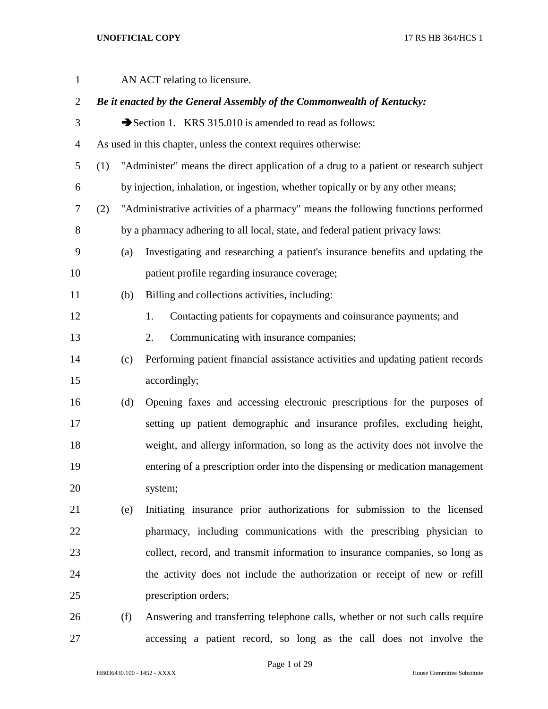| $\mathbf{1}$   |     |     | AN ACT relating to licensure.                                                        |
|----------------|-----|-----|--------------------------------------------------------------------------------------|
| $\overline{2}$ |     |     | Be it enacted by the General Assembly of the Commonwealth of Kentucky:               |
| 3              |     |     | Section 1. KRS 315.010 is amended to read as follows:                                |
| 4              |     |     | As used in this chapter, unless the context requires otherwise:                      |
| 5              | (1) |     | "Administer" means the direct application of a drug to a patient or research subject |
| 6              |     |     | by injection, inhalation, or ingestion, whether topically or by any other means;     |
| 7              | (2) |     | "Administrative activities of a pharmacy" means the following functions performed    |
| 8              |     |     | by a pharmacy adhering to all local, state, and federal patient privacy laws:        |
| 9              |     | (a) | Investigating and researching a patient's insurance benefits and updating the        |
| 10             |     |     | patient profile regarding insurance coverage;                                        |
| 11             |     | (b) | Billing and collections activities, including:                                       |
| 12             |     |     | Contacting patients for copayments and coinsurance payments; and<br>1.               |
| 13             |     |     | Communicating with insurance companies;<br>2.                                        |
| 14             |     | (c) | Performing patient financial assistance activities and updating patient records      |
| 15             |     |     | accordingly;                                                                         |
| 16             |     | (d) | Opening faxes and accessing electronic prescriptions for the purposes of             |
| 17             |     |     | setting up patient demographic and insurance profiles, excluding height,             |
| 18             |     |     | weight, and allergy information, so long as the activity does not involve the        |
| 19             |     |     | entering of a prescription order into the dispensing or medication management        |
| 20             |     |     | system;                                                                              |
| 21             |     | (e) | Initiating insurance prior authorizations for submission to the licensed             |
| 22             |     |     | pharmacy, including communications with the prescribing physician to                 |
| 23             |     |     | collect, record, and transmit information to insurance companies, so long as         |
| 24             |     |     | the activity does not include the authorization or receipt of new or refill          |
| 25             |     |     | prescription orders;                                                                 |
| 26             |     | (f) | Answering and transferring telephone calls, whether or not such calls require        |

Page 1 of 29

accessing a patient record, so long as the call does not involve the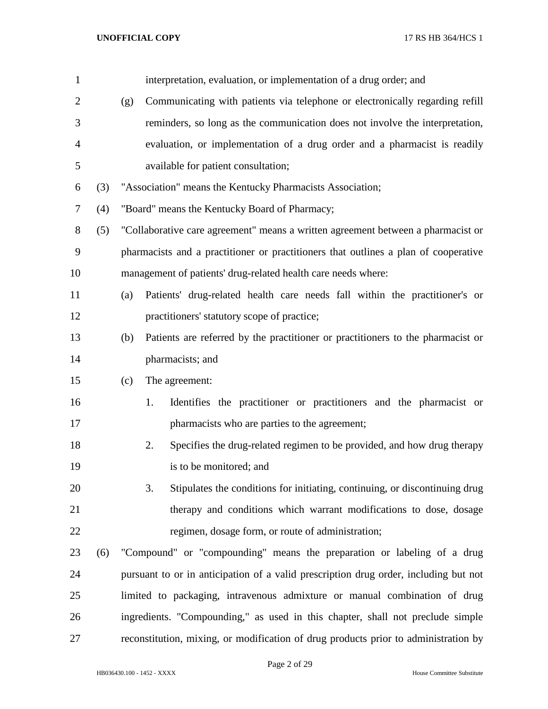| $\mathbf{1}$   |     |     | interpretation, evaluation, or implementation of a drug order; and                   |
|----------------|-----|-----|--------------------------------------------------------------------------------------|
| $\overline{2}$ |     | (g) | Communicating with patients via telephone or electronically regarding refill         |
| 3              |     |     | reminders, so long as the communication does not involve the interpretation,         |
| 4              |     |     | evaluation, or implementation of a drug order and a pharmacist is readily            |
| 5              |     |     | available for patient consultation;                                                  |
| 6              | (3) |     | "Association" means the Kentucky Pharmacists Association;                            |
| 7              | (4) |     | "Board" means the Kentucky Board of Pharmacy;                                        |
| 8              | (5) |     | "Collaborative care agreement" means a written agreement between a pharmacist or     |
| 9              |     |     | pharmacists and a practitioner or practitioners that outlines a plan of cooperative  |
| 10             |     |     | management of patients' drug-related health care needs where:                        |
| 11             |     | (a) | Patients' drug-related health care needs fall within the practitioner's or           |
| 12             |     |     | practitioners' statutory scope of practice;                                          |
| 13             |     | (b) | Patients are referred by the practitioner or practitioners to the pharmacist or      |
| 14             |     |     | pharmacists; and                                                                     |
| 15             |     | (c) | The agreement:                                                                       |
| 16             |     |     | Identifies the practitioner or practitioners and the pharmacist or<br>1.             |
| 17             |     |     | pharmacists who are parties to the agreement;                                        |
| 18             |     |     | 2.<br>Specifies the drug-related regimen to be provided, and how drug therapy        |
| 19             |     |     | is to be monitored; and                                                              |
| 20             |     |     | 3.<br>Stipulates the conditions for initiating, continuing, or discontinuing drug    |
| 21             |     |     | therapy and conditions which warrant modifications to dose, dosage                   |
| 22             |     |     | regimen, dosage form, or route of administration;                                    |
| 23             | (6) |     | "Compound" or "compounding" means the preparation or labeling of a drug              |
| 24             |     |     | pursuant to or in anticipation of a valid prescription drug order, including but not |
| 25             |     |     | limited to packaging, intravenous admixture or manual combination of drug            |
| 26             |     |     | ingredients. "Compounding," as used in this chapter, shall not preclude simple       |
| 27             |     |     | reconstitution, mixing, or modification of drug products prior to administration by  |

Page 2 of 29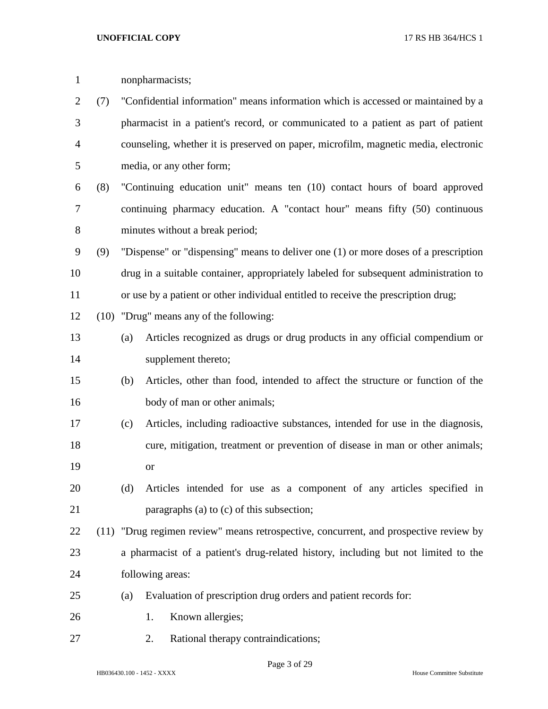| $\mathbf{1}$   |     |     | nonpharmacists;                                                                       |
|----------------|-----|-----|---------------------------------------------------------------------------------------|
| $\overline{2}$ | (7) |     | "Confidential information" means information which is accessed or maintained by a     |
| 3              |     |     | pharmacist in a patient's record, or communicated to a patient as part of patient     |
| 4              |     |     | counseling, whether it is preserved on paper, microfilm, magnetic media, electronic   |
| 5              |     |     | media, or any other form;                                                             |
| 6              | (8) |     | "Continuing education unit" means ten (10) contact hours of board approved            |
| 7              |     |     | continuing pharmacy education. A "contact hour" means fifty (50) continuous           |
| 8              |     |     | minutes without a break period;                                                       |
| 9              | (9) |     | "Dispense" or "dispensing" means to deliver one (1) or more doses of a prescription   |
| 10             |     |     | drug in a suitable container, appropriately labeled for subsequent administration to  |
| 11             |     |     | or use by a patient or other individual entitled to receive the prescription drug;    |
| 12             |     |     | (10) "Drug" means any of the following:                                               |
| 13             |     | (a) | Articles recognized as drugs or drug products in any official compendium or           |
| 14             |     |     | supplement thereto;                                                                   |
| 15             |     | (b) | Articles, other than food, intended to affect the structure or function of the        |
| 16             |     |     | body of man or other animals;                                                         |
| 17             |     | (c) | Articles, including radioactive substances, intended for use in the diagnosis,        |
| 18             |     |     | cure, mitigation, treatment or prevention of disease in man or other animals;         |
| 19             |     |     | or                                                                                    |
| 20             |     | (d) | Articles intended for use as a component of any articles specified in                 |
| 21             |     |     | paragraphs (a) to (c) of this subsection;                                             |
| 22             |     |     | (11) "Drug regimen review" means retrospective, concurrent, and prospective review by |
| 23             |     |     | a pharmacist of a patient's drug-related history, including but not limited to the    |
| 24             |     |     | following areas:                                                                      |
| 25             |     | (a) | Evaluation of prescription drug orders and patient records for:                       |
| 26             |     |     | Known allergies;<br>1.                                                                |
| 27             |     |     | Rational therapy contraindications;<br>2.                                             |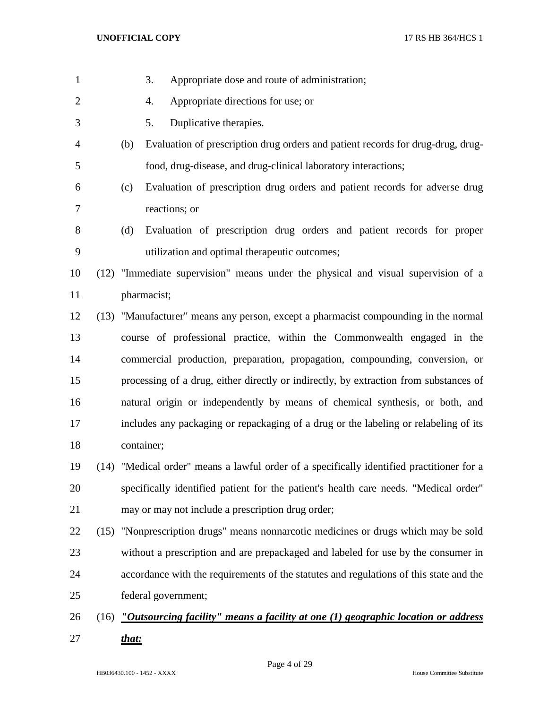| $\mathbf{1}$   |       | 3.<br>Appropriate dose and route of administration;                                           |
|----------------|-------|-----------------------------------------------------------------------------------------------|
| $\overline{2}$ |       | Appropriate directions for use; or<br>4.                                                      |
| 3              |       | Duplicative therapies.<br>5.                                                                  |
| $\overline{4}$ | (b)   | Evaluation of prescription drug orders and patient records for drug-drug, drug-               |
| 5              |       | food, drug-disease, and drug-clinical laboratory interactions;                                |
| 6              | (c)   | Evaluation of prescription drug orders and patient records for adverse drug                   |
| 7              |       | reactions; or                                                                                 |
| 8              | (d)   | Evaluation of prescription drug orders and patient records for proper                         |
| 9              |       | utilization and optimal therapeutic outcomes;                                                 |
| 10             |       | (12) "Immediate supervision" means under the physical and visual supervision of a             |
| 11             |       | pharmacist;                                                                                   |
| 12             |       | (13) "Manufacturer" means any person, except a pharmacist compounding in the normal           |
| 13             |       | course of professional practice, within the Commonwealth engaged in the                       |
| 14             |       | commercial production, preparation, propagation, compounding, conversion, or                  |
| 15             |       | processing of a drug, either directly or indirectly, by extraction from substances of         |
| 16             |       | natural origin or independently by means of chemical synthesis, or both, and                  |
| 17             |       | includes any packaging or repackaging of a drug or the labeling or relabeling of its          |
| 18             |       | container;                                                                                    |
| 19             |       | (14) "Medical order" means a lawful order of a specifically identified practitioner for a     |
| 20             |       | specifically identified patient for the patient's health care needs. "Medical order"          |
| 21             |       | may or may not include a prescription drug order;                                             |
| 22             |       | (15) "Nonprescription drugs" means nonnarcotic medicines or drugs which may be sold           |
| 23             |       | without a prescription and are prepackaged and labeled for use by the consumer in             |
| 24             |       | accordance with the requirements of the statutes and regulations of this state and the        |
| 25             |       | federal government;                                                                           |
| 26             |       | (16) <i>"Outsourcing facility" means a facility at one (1) geographic location or address</i> |
| 27             | that: |                                                                                               |

Page 4 of 29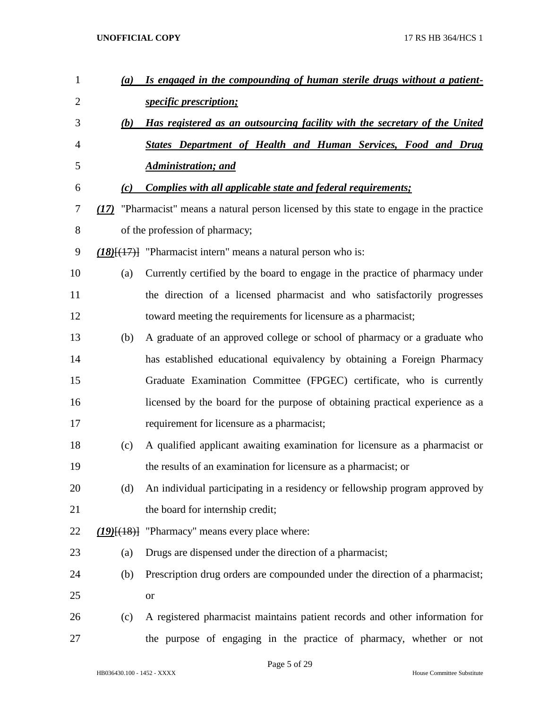| $\mathbf{1}$   | (a) | Is engaged in the compounding of human sterile drugs without a patient-                   |
|----------------|-----|-------------------------------------------------------------------------------------------|
| $\overline{2}$ |     | <i>specific prescription;</i>                                                             |
| 3              | (b) | Has registered as an outsourcing facility with the secretary of the United                |
| 4              |     | <b>States Department of Health and Human Services, Food and Drug</b>                      |
| 5              |     | <b>Administration; and</b>                                                                |
| 6              | (c) | <b>Complies with all applicable state and federal requirements;</b>                       |
| 7              |     | (17) "Pharmacist" means a natural person licensed by this state to engage in the practice |
| 8              |     | of the profession of pharmacy;                                                            |
| 9              |     | $(18)$ [ $(17)$ ] "Pharmacist intern" means a natural person who is:                      |
| 10             | (a) | Currently certified by the board to engage in the practice of pharmacy under              |
| 11             |     | the direction of a licensed pharmacist and who satisfactorily progresses                  |
| 12             |     | toward meeting the requirements for licensure as a pharmacist;                            |
| 13             | (b) | A graduate of an approved college or school of pharmacy or a graduate who                 |
| 14             |     | has established educational equivalency by obtaining a Foreign Pharmacy                   |
| 15             |     | Graduate Examination Committee (FPGEC) certificate, who is currently                      |
| 16             |     | licensed by the board for the purpose of obtaining practical experience as a              |
| 17             |     | requirement for licensure as a pharmacist;                                                |
| 18             | (c) | A qualified applicant awaiting examination for licensure as a pharmacist or               |
| 19             |     | the results of an examination for licensure as a pharmacist; or                           |
| 20             | (d) | An individual participating in a residency or fellowship program approved by              |
| 21             |     | the board for internship credit;                                                          |
| 22             |     | $(19)(18)$ "Pharmacy" means every place where:                                            |
| 23             | (a) | Drugs are dispensed under the direction of a pharmacist;                                  |
| 24             | (b) | Prescription drug orders are compounded under the direction of a pharmacist;              |
| 25             |     | <b>or</b>                                                                                 |
| 26             | (c) | A registered pharmacist maintains patient records and other information for               |
| 27             |     | the purpose of engaging in the practice of pharmacy, whether or not                       |

Page 5 of 29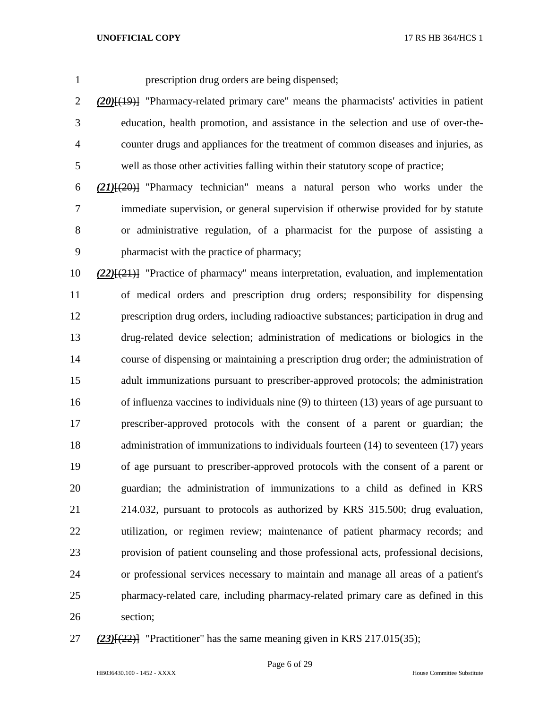prescription drug orders are being dispensed;

 *(20)*[(19)] "Pharmacy-related primary care" means the pharmacists' activities in patient education, health promotion, and assistance in the selection and use of over-the- counter drugs and appliances for the treatment of common diseases and injuries, as well as those other activities falling within their statutory scope of practice;

 *(21)*[(20)] "Pharmacy technician" means a natural person who works under the immediate supervision, or general supervision if otherwise provided for by statute or administrative regulation, of a pharmacist for the purpose of assisting a pharmacist with the practice of pharmacy;

 *(22)*[(21)] "Practice of pharmacy" means interpretation, evaluation, and implementation of medical orders and prescription drug orders; responsibility for dispensing prescription drug orders, including radioactive substances; participation in drug and drug-related device selection; administration of medications or biologics in the course of dispensing or maintaining a prescription drug order; the administration of adult immunizations pursuant to prescriber-approved protocols; the administration of influenza vaccines to individuals nine (9) to thirteen (13) years of age pursuant to prescriber-approved protocols with the consent of a parent or guardian; the administration of immunizations to individuals fourteen (14) to seventeen (17) years of age pursuant to prescriber-approved protocols with the consent of a parent or guardian; the administration of immunizations to a child as defined in KRS 214.032, pursuant to protocols as authorized by KRS 315.500; drug evaluation, utilization, or regimen review; maintenance of patient pharmacy records; and provision of patient counseling and those professional acts, professional decisions, or professional services necessary to maintain and manage all areas of a patient's pharmacy-related care, including pharmacy-related primary care as defined in this section;

*(23)*[(22)] "Practitioner" has the same meaning given in KRS 217.015(35);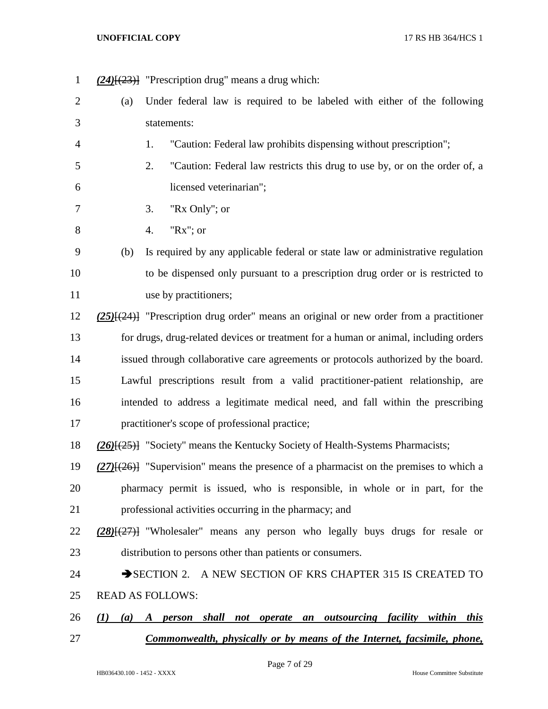*(24)*[(23)] "Prescription drug" means a drug which: (a) Under federal law is required to be labeled with either of the following statements: 1. "Caution: Federal law prohibits dispensing without prescription"; 2. "Caution: Federal law restricts this drug to use by, or on the order of, a licensed veterinarian"; 3. "Rx Only"; or 4. "Rx"; or (b) Is required by any applicable federal or state law or administrative regulation to be dispensed only pursuant to a prescription drug order or is restricted to 11 use by practitioners; *(25)*[(24)] "Prescription drug order" means an original or new order from a practitioner for drugs, drug-related devices or treatment for a human or animal, including orders issued through collaborative care agreements or protocols authorized by the board. Lawful prescriptions result from a valid practitioner-patient relationship, are intended to address a legitimate medical need, and fall within the prescribing practitioner's scope of professional practice; *(26)*[(25)] "Society" means the Kentucky Society of Health-Systems Pharmacists; *(27)*[(26)] "Supervision" means the presence of a pharmacist on the premises to which a pharmacy permit is issued, who is responsible, in whole or in part, for the professional activities occurring in the pharmacy; and *(28)*[(27)] "Wholesaler" means any person who legally buys drugs for resale or distribution to persons other than patients or consumers. 24 SECTION 2. A NEW SECTION OF KRS CHAPTER 315 IS CREATED TO READ AS FOLLOWS: *(1) (a) A person shall not operate an outsourcing facility within this Commonwealth, physically or by means of the Internet, facsimile, phone,*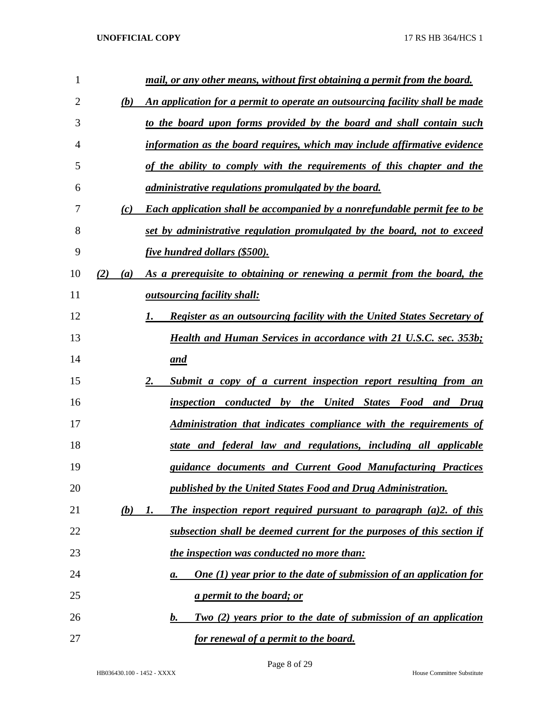| 1  |     |            | mail, or any other means, without first obtaining a permit from the board.       |
|----|-----|------------|----------------------------------------------------------------------------------|
| 2  |     | (b)        | An application for a permit to operate an outsourcing facility shall be made     |
| 3  |     |            | to the board upon forms provided by the board and shall contain such             |
| 4  |     |            | information as the board requires, which may include affirmative evidence        |
| 5  |     |            | of the ability to comply with the requirements of this chapter and the           |
| 6  |     |            | <i>administrative regulations promulgated by the board.</i>                      |
| 7  |     | (c)        | <b>Each application shall be accompanied by a nonrefundable permit fee to be</b> |
| 8  |     |            | set by administrative regulation promulgated by the board, not to exceed         |
| 9  |     |            | <i>five hundred dollars (\$500).</i>                                             |
| 10 | (2) | (a)        | As a prerequisite to obtaining or renewing a permit from the board, the          |
| 11 |     |            | <b><u>outsourcing facility shall:</u></b>                                        |
| 12 |     |            | <b>Register as an outsourcing facility with the United States Secretary of</b>   |
| 13 |     |            | <b>Health and Human Services in accordance with 21 U.S.C. sec. 353b;</b>         |
| 14 |     |            | <u>and</u>                                                                       |
| 15 |     |            | Submit a copy of a current inspection report resulting from an                   |
| 16 |     |            | inspection conducted by the United States Food and Drug                          |
| 17 |     |            | Administration that indicates compliance with the requirements of                |
| 18 |     |            | state and federal law and regulations, including all applicable                  |
| 19 |     |            | guidance documents and Current Good Manufacturing Practices                      |
| 20 |     |            | published by the United States Food and Drug Administration.                     |
| 21 |     | <u>(b)</u> | The inspection report required pursuant to paragraph $(a)2$ , of this<br>I.      |
| 22 |     |            | subsection shall be deemed current for the purposes of this section if           |
| 23 |     |            | the inspection was conducted no more than:                                       |
| 24 |     |            | <b>One</b> (1) year prior to the date of submission of an application for<br>а.  |
| 25 |     |            | <u>a permit to the board; or</u>                                                 |
| 26 |     |            | Two (2) years prior to the date of submission of an application<br><u>b.</u>     |
| 27 |     |            | for renewal of a permit to the board.                                            |

Page 8 of 29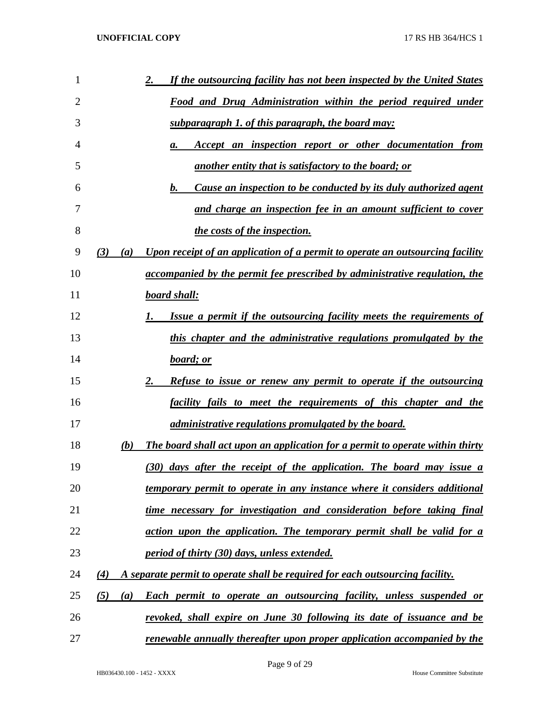| 1  | If the outsourcing facility has not been inspected by the United States<br>2.                      |
|----|----------------------------------------------------------------------------------------------------|
| 2  | Food and Drug Administration within the period required under                                      |
| 3  | subparagraph 1. of this paragraph, the board may:                                                  |
| 4  | Accept an inspection report or other documentation from<br>а.                                      |
| 5  | another entity that is satisfactory to the board; or                                               |
| 6  | Cause an inspection to be conducted by its duly authorized agent<br>b.                             |
| 7  | and charge an inspection fee in an amount sufficient to cover                                      |
| 8  | the costs of the inspection.                                                                       |
| 9  | (3)<br>Upon receipt of an application of a permit to operate an outsourcing facility<br>(a)        |
| 10 | accompanied by the permit fee prescribed by administrative regulation, the                         |
| 11 | <b>board shall:</b>                                                                                |
| 12 | Issue a permit if the outsourcing facility meets the requirements of                               |
| 13 | this chapter and the administrative regulations promulgated by the                                 |
| 14 | board; or                                                                                          |
| 15 | <b>Refuse to issue or renew any permit to operate if the outsourcing</b>                           |
| 16 | facility fails to meet the requirements of this chapter and the                                    |
| 17 | <i>administrative regulations promulgated by the board.</i>                                        |
| 18 | <b>The board shall act upon an application for a permit to operate within thirty</b><br>(b)        |
| 19 | (30) days after the receipt of the application. The board may issue a                              |
| 20 | temporary permit to operate in any instance where it considers additional                          |
| 21 | time necessary for investigation and consideration before taking final                             |
| 22 | action upon the application. The temporary permit shall be valid for a                             |
| 23 | <u>period of thirty (30) days, unless extended.</u>                                                |
| 24 | A separate permit to operate shall be required for each outsourcing facility.<br>$\left( 4\right)$ |
| 25 | <b>Each permit to operate an outsourcing facility, unless suspended or</b><br>(5)<br>(a)           |
| 26 | revoked, shall expire on June 30 following its date of issuance and be                             |
| 27 | renewable annually thereafter upon proper application accompanied by the                           |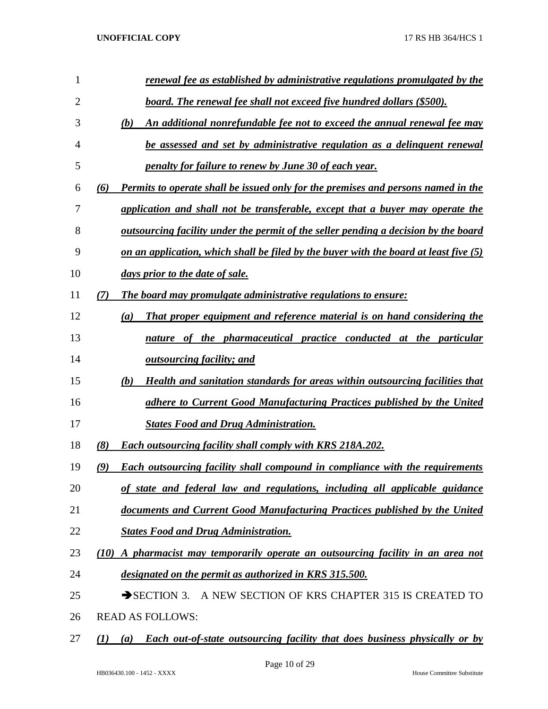| 1              | renewal fee as established by administrative regulations promulgated by the                   |
|----------------|-----------------------------------------------------------------------------------------------|
| $\overline{2}$ | <u>board. The renewal fee shall not exceed five hundred dollars (\$500).</u>                  |
| 3              | An additional nonrefundable fee not to exceed the annual renewal fee may<br>(b)               |
| 4              | be assessed and set by administrative regulation as a delinguent renewal                      |
| 5              | penalty for failure to renew by June 30 of each year.                                         |
| 6              | Permits to operate shall be issued only for the premises and persons named in the<br>(6)      |
| 7              | application and shall not be transferable, except that a buyer may operate the                |
| 8              | <u>outsourcing facility under the permit of the seller pending a decision by the board</u>    |
| 9              | on an application, which shall be filed by the buyer with the board at least five $(5)$       |
| 10             | days prior to the date of sale.                                                               |
| 11             | The board may promulgate administrative regulations to ensure:<br>(7)                         |
| 12             | That proper equipment and reference material is on hand considering the<br>$\left(a\right)$   |
| 13             | nature of the pharmaceutical practice conducted at the particular                             |
| 14             | <u>outsourcing facility; and</u>                                                              |
| 15             | Health and sanitation standards for areas within outsourcing facilities that<br>(b)           |
| 16             | adhere to Current Good Manufacturing Practices published by the United                        |
| 17             | <b>States Food and Drug Administration.</b>                                                   |
| 18             | (8)<br><b>Each outsourcing facility shall comply with KRS 218A.202.</b>                       |
| 19             | <b>Each outsourcing facility shall compound in compliance with the requirements</b><br>(9)    |
| 20             | of state and federal law and regulations, including all applicable guidance                   |
| 21             | documents and Current Good Manufacturing Practices published by the United                    |
| 22             | <b>States Food and Drug Administration.</b>                                                   |
| 23             | A pharmacist may temporarily operate an outsourcing facility in an area not<br>(10)           |
| 24             | designated on the permit as authorized in KRS 315.500.                                        |
| 25             | $\rightarrow$ SECTION 3.<br>A NEW SECTION OF KRS CHAPTER 315 IS CREATED TO                    |
| 26             | <b>READ AS FOLLOWS:</b>                                                                       |
| 27             | Each out-of-state outsourcing facility that does business physically or by<br>$\bf(1)$<br>(a) |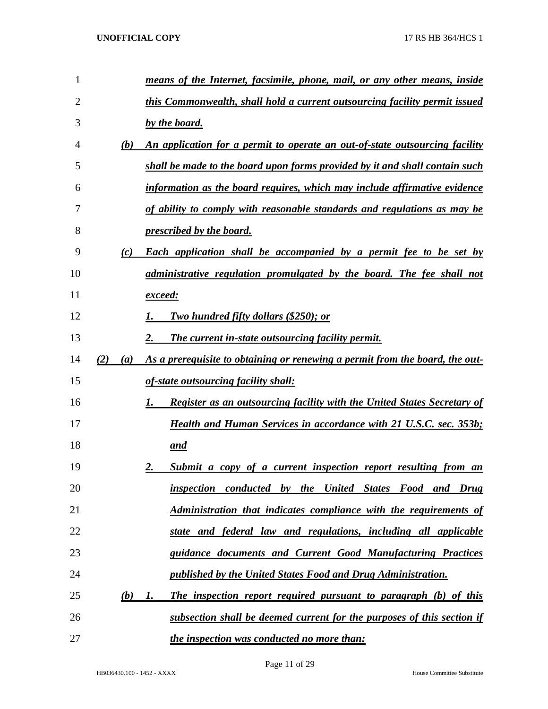| 1  |     |     | means of the Internet, facsimile, phone, mail, or any other means, inside            |
|----|-----|-----|--------------------------------------------------------------------------------------|
| 2  |     |     | this Commonwealth, shall hold a current outsourcing facility permit issued           |
| 3  |     |     | by the board.                                                                        |
| 4  |     | (b) | An application for a permit to operate an out-of-state outsourcing facility          |
| 5  |     |     | shall be made to the board upon forms provided by it and shall contain such          |
| 6  |     |     | information as the board requires, which may include affirmative evidence            |
| 7  |     |     | of ability to comply with reasonable standards and regulations as may be             |
| 8  |     |     | <i><u><b>prescribed by the board.</b></u></i>                                        |
| 9  |     | (c) | <b>Each application shall be accompanied by a permit fee to be set by</b>            |
| 10 |     |     | administrative regulation promulgated by the board. The fee shall not                |
| 11 |     |     | <u>exceed:</u>                                                                       |
| 12 |     |     | Two hundred fifty dollars (\$250); or                                                |
| 13 |     |     | The current in-state outsourcing facility permit.                                    |
| 14 | (2) | (a) | As a prerequisite to obtaining or renewing a permit from the board, the out-         |
| 15 |     |     | of-state outsourcing facility shall:                                                 |
| 16 |     |     | <b>Register as an outsourcing facility with the United States Secretary of</b><br>1. |
| 17 |     |     | <b>Health and Human Services in accordance with 21 U.S.C. sec. 353b;</b>             |
| 18 |     |     | <u>and</u>                                                                           |
| 19 |     |     | Submit a copy of a current inspection report resulting from an<br>2.                 |
| 20 |     |     | inspection conducted by the United States Food and Drug                              |
| 21 |     |     | Administration that indicates compliance with the requirements of                    |
| 22 |     |     | state and federal law and regulations, including all applicable                      |
| 23 |     |     | guidance documents and Current Good Manufacturing Practices                          |
| 24 |     |     | published by the United States Food and Drug Administration.                         |
| 25 |     | (b) | The inspection report required pursuant to paragraph (b) of this<br>I.               |
| 26 |     |     | subsection shall be deemed current for the purposes of this section if               |
| 27 |     |     | the inspection was conducted no more than:                                           |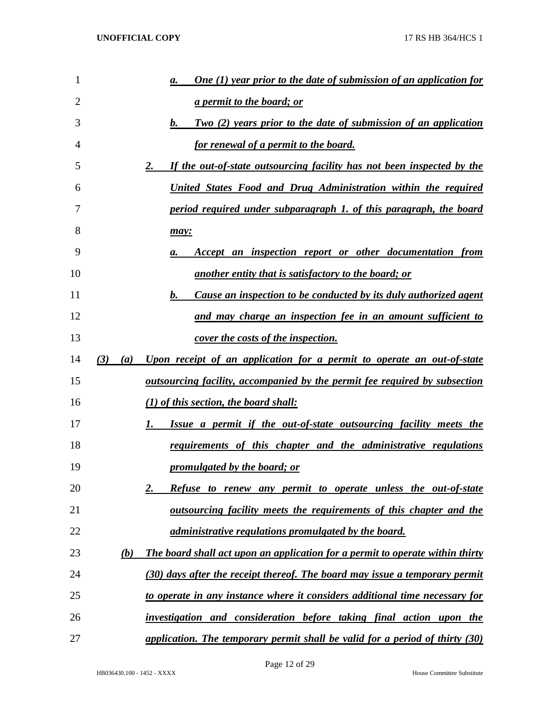| 1  |            | <b>One (1) year prior to the date of submission of an application for</b><br>а.   |
|----|------------|-----------------------------------------------------------------------------------|
| 2  |            | <u>a permit to the board; or</u>                                                  |
| 3  |            | Two (2) years prior to the date of submission of an application<br>b.             |
| 4  |            | <u>for renewal of a permit to the board.</u>                                      |
| 5  |            | If the out-of-state outsourcing facility has not been inspected by the<br>2.      |
| 6  |            | United States Food and Drug Administration within the required                    |
| 7  |            | period required under subparagraph 1. of this paragraph, the board                |
| 8  |            | may:                                                                              |
| 9  |            | Accept an inspection report or other documentation from<br>а.                     |
| 10 |            | another entity that is satisfactory to the board; or                              |
| 11 |            | <u>Cause an inspection to be conducted by its duly authorized agent</u><br>b.     |
| 12 |            | and may charge an inspection fee in an amount sufficient to                       |
| 13 |            | <u>cover the costs of the inspection.</u>                                         |
| 14 | (3)<br>(a) | Upon receipt of an application for a permit to operate an out-of-state            |
| 15 |            | <u>outsourcing facility, accompanied by the permit fee required by subsection</u> |
| 16 |            | $(1)$ of this section, the board shall:                                           |
| 17 |            | Issue a permit if the out-of-state outsourcing facility meets the<br>I.           |
| 18 |            | <u>requirements of this chapter and the administrative regulations</u>            |
| 19 |            | promulgated by the board; or                                                      |
| 20 |            | <b>Refuse to renew any permit to operate unless the out-of-state</b><br><u>2.</u> |
| 21 |            | <u>outsourcing facility meets the requirements of this chapter and the</u>        |
| 22 |            | <i>administrative regulations promulgated by the board.</i>                       |
| 23 | (b)        | The board shall act upon an application for a permit to operate within thirty     |
| 24 |            | (30) days after the receipt thereof. The board may issue a temporary permit       |
| 25 |            | to operate in any instance where it considers additional time necessary for       |
| 26 |            | investigation and consideration before taking final action upon the               |
| 27 |            | application. The temporary permit shall be valid for a period of thirty (30)      |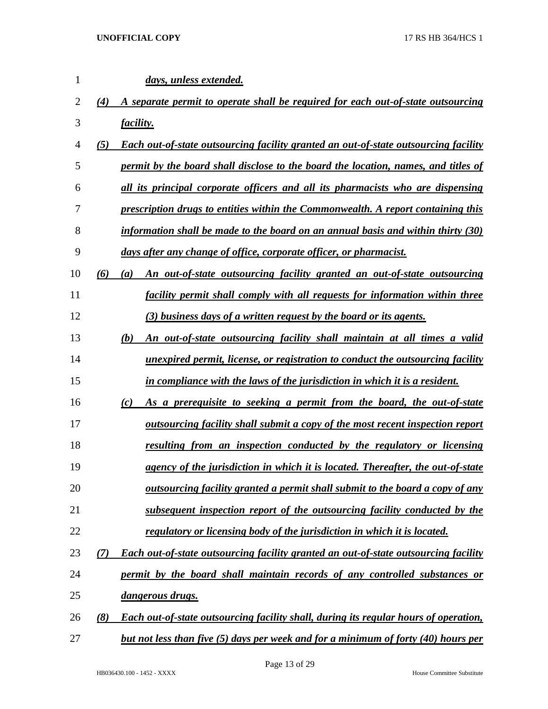| $\mathbf{1}$ |     | days, unless extended.                                                                      |
|--------------|-----|---------------------------------------------------------------------------------------------|
| 2            | (4) | A separate permit to operate shall be required for each out-of-state outsourcing            |
| 3            |     | <i>facility.</i>                                                                            |
| 4            | (5) | <b>Each out-of-state outsourcing facility granted an out-of-state outsourcing facility</b>  |
| 5            |     | permit by the board shall disclose to the board the location, names, and titles of          |
| 6            |     | all its principal corporate officers and all its pharmacists who are dispensing             |
| 7            |     | prescription drugs to entities within the Commonwealth. A report containing this            |
| 8            |     | information shall be made to the board on an annual basis and within thirty $(30)$          |
| 9            |     | days after any change of office, corporate officer, or pharmacist.                          |
| 10           | (6) | An out-of-state outsourcing facility granted an out-of-state outsourcing<br>(a)             |
| 11           |     | <i>facility permit shall comply with all requests for information within three</i>          |
| 12           |     | (3) business days of a written request by the board or its agents.                          |
| 13           |     | An out-of-state outsourcing facility shall maintain at all times a valid<br>(b)             |
| 14           |     | unexpired permit, license, or registration to conduct the outsourcing facility              |
| 15           |     | in compliance with the laws of the jurisdiction in which it is a resident.                  |
| 16           |     | As a prerequisite to seeking a permit from the board, the out-of-state<br>(c)               |
| 17           |     | outsourcing facility shall submit a copy of the most recent inspection report               |
| 18           |     | resulting from an inspection conducted by the regulatory or licensing                       |
| 19           |     | agency of the jurisdiction in which it is located. Thereafter, the out-of-state             |
| 20           |     | <u>outsourcing facility granted a permit shall submit to the board a copy of any</u>        |
| 21           |     | subsequent inspection report of the outsourcing facility conducted by the                   |
| 22           |     | regulatory or licensing body of the jurisdiction in which it is located.                    |
| 23           | (7) | Each out-of-state outsourcing facility granted an out-of-state outsourcing facility         |
| 24           |     | permit by the board shall maintain records of any controlled substances or                  |
| 25           |     | <u>dangerous drugs.</u>                                                                     |
| 26           | (8) | <b>Each out-of-state outsourcing facility shall, during its regular hours of operation,</b> |
| 27           |     | <u>but not less than five (5) days per week and for a minimum of forty (40) hours per</u>   |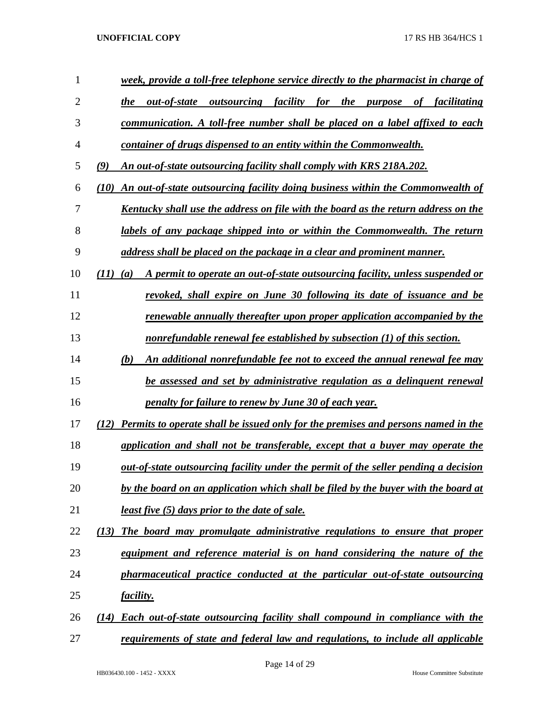| 1              | week, provide a toll-free telephone service directly to the pharmacist in charge of          |
|----------------|----------------------------------------------------------------------------------------------|
| $\overline{2}$ | outsourcing facility for the purpose of facilitating<br>the<br>out-of-state                  |
| 3              | communication. A toll-free number shall be placed on a label affixed to each                 |
| $\overline{4}$ | container of drugs dispensed to an entity within the Commonwealth.                           |
| 5              | (9)<br>An out-of-state outsourcing facility shall comply with KRS 218A.202.                  |
| 6              | An out-of-state outsourcing facility doing business within the Commonwealth of<br>(10)       |
| 7              | Kentucky shall use the address on file with the board as the return address on the           |
| 8              | labels of any package shipped into or within the Commonwealth. The return                    |
| 9              | address shall be placed on the package in a clear and prominent manner.                      |
| 10             | A permit to operate an out-of-state outsourcing facility, unless suspended or<br>(11)<br>(a) |
| 11             | revoked, shall expire on June 30 following its date of issuance and be                       |
| 12             | renewable annually thereafter upon proper application accompanied by the                     |
| 13             | nonrefundable renewal fee established by subsection (1) of this section.                     |
| 14             | An additional nonrefundable fee not to exceed the annual renewal fee may<br>(b)              |
| 15             | be assessed and set by administrative regulation as a delinguent renewal                     |
| 16             | penalty for failure to renew by June 30 of each year.                                        |
| 17             | Permits to operate shall be issued only for the premises and persons named in the            |
| 18             | application and shall not be transferable, except that a buyer may operate the               |
| 19             | out-of-state outsourcing facility under the permit of the seller pending a decision          |
| 20             | by the board on an application which shall be filed by the buyer with the board at           |
| 21             | least five (5) days prior to the date of sale.                                               |
| 22             | The board may promulgate administrative regulations to ensure that proper<br>(13)            |
| 23             | equipment and reference material is on hand considering the nature of the                    |
| 24             | pharmaceutical practice conducted at the particular out-of-state outsourcing                 |
| 25             | <i>facility.</i>                                                                             |
| 26             | <b>Each out-of-state outsourcing facility shall compound in compliance with the</b><br>(14)  |
| 27             | requirements of state and federal law and regulations, to include all applicable             |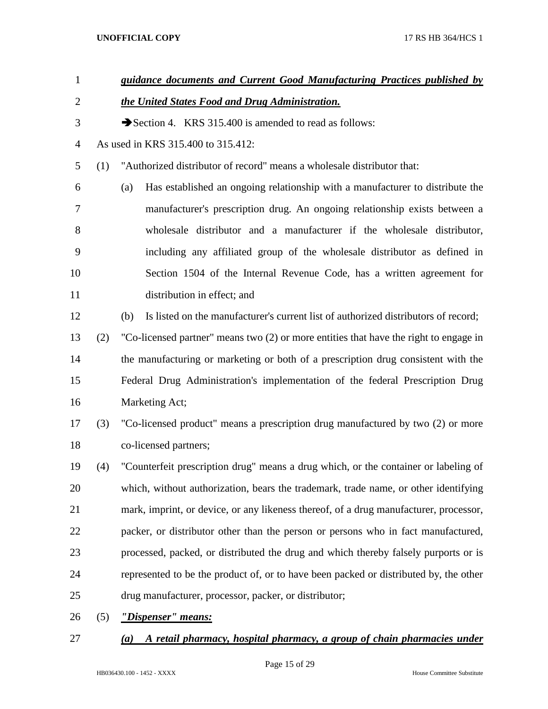| $\mathbf{1}$   |     | guidance documents and Current Good Manufacturing Practices published by                    |
|----------------|-----|---------------------------------------------------------------------------------------------|
| $\overline{2}$ |     | the United States Food and Drug Administration.                                             |
| 3              |     | Section 4. KRS 315.400 is amended to read as follows:                                       |
| $\overline{4}$ |     | As used in KRS 315.400 to 315.412:                                                          |
| 5              | (1) | "Authorized distributor of record" means a wholesale distributor that:                      |
| 6              |     | Has established an ongoing relationship with a manufacturer to distribute the<br>(a)        |
| 7              |     | manufacturer's prescription drug. An ongoing relationship exists between a                  |
| 8              |     | wholesale distributor and a manufacturer if the wholesale distributor,                      |
| 9              |     | including any affiliated group of the wholesale distributor as defined in                   |
| 10             |     | Section 1504 of the Internal Revenue Code, has a written agreement for                      |
| 11             |     | distribution in effect; and                                                                 |
| 12             |     | Is listed on the manufacturer's current list of authorized distributors of record;<br>(b)   |
| 13             | (2) | "Co-licensed partner" means two (2) or more entities that have the right to engage in       |
| 14             |     | the manufacturing or marketing or both of a prescription drug consistent with the           |
| 15             |     | Federal Drug Administration's implementation of the federal Prescription Drug               |
| 16             |     | Marketing Act;                                                                              |
| 17             | (3) | "Co-licensed product" means a prescription drug manufactured by two (2) or more             |
| 18             |     | co-licensed partners;                                                                       |
| 19             | (4) | "Counterfeit prescription drug" means a drug which, or the container or labeling of         |
| 20             |     | which, without authorization, bears the trademark, trade name, or other identifying         |
| 21             |     | mark, imprint, or device, or any likeness thereof, of a drug manufacturer, processor,       |
| 22             |     | packer, or distributor other than the person or persons who in fact manufactured,           |
| 23             |     | processed, packed, or distributed the drug and which thereby falsely purports or is         |
| 24             |     | represented to be the product of, or to have been packed or distributed by, the other       |
| 25             |     | drug manufacturer, processor, packer, or distributor;                                       |
| 26             | (5) | "Dispenser" means:                                                                          |
| 27             |     | A retail pharmacy, hospital pharmacy, a group of chain pharmacies under<br>$\left(a\right)$ |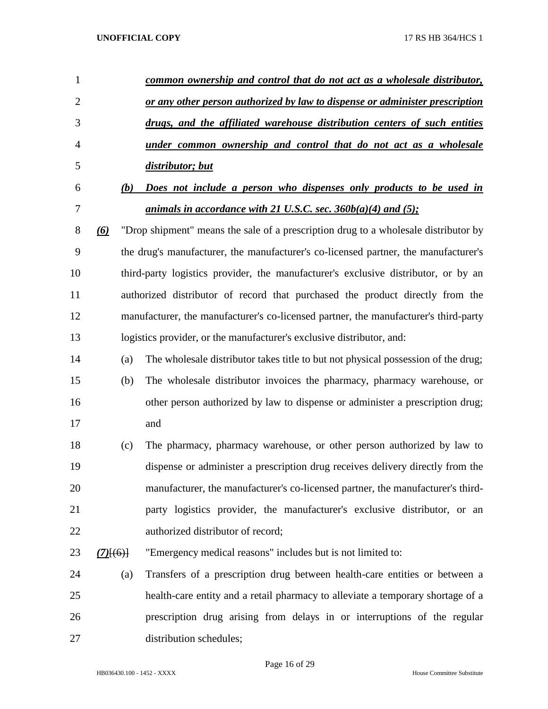| 1              |             | common ownership and control that do not act as a wholesale distributor,             |
|----------------|-------------|--------------------------------------------------------------------------------------|
| $\overline{2}$ |             | or any other person authorized by law to dispense or administer prescription         |
| 3              |             | drugs, and the affiliated warehouse distribution centers of such entities            |
| 4              |             | under common ownership and control that do not act as a wholesale                    |
| 5              |             | distributor; but                                                                     |
| 6              | (b)         | Does not include a person who dispenses only products to be used in                  |
| 7              |             | <u>animals in accordance with 21 U.S.C. sec. 360b(a)(4) and (5)</u> ;                |
| 8              | $\omega$    | "Drop shipment" means the sale of a prescription drug to a wholesale distributor by  |
| 9              |             | the drug's manufacturer, the manufacturer's co-licensed partner, the manufacturer's  |
| 10             |             | third-party logistics provider, the manufacturer's exclusive distributor, or by an   |
| 11             |             | authorized distributor of record that purchased the product directly from the        |
| 12             |             | manufacturer, the manufacturer's co-licensed partner, the manufacturer's third-party |
| 13             |             | logistics provider, or the manufacturer's exclusive distributor, and:                |
| 14             | (a)         | The wholesale distributor takes title to but not physical possession of the drug;    |
| 15             | (b)         | The wholesale distributor invoices the pharmacy, pharmacy warehouse, or              |
| 16             |             | other person authorized by law to dispense or administer a prescription drug;        |
| 17             |             | and                                                                                  |
| 18             | (c)         | The pharmacy, pharmacy warehouse, or other person authorized by law to               |
| 19             |             | dispense or administer a prescription drug receives delivery directly from the       |
| 20             |             | manufacturer, the manufacturer's co-licensed partner, the manufacturer's third-      |
| 21             |             | party logistics provider, the manufacturer's exclusive distributor, or an            |
| 22             |             | authorized distributor of record;                                                    |
| 23             | $(7)$ [(6)] | "Emergency medical reasons" includes but is not limited to:                          |
| 24             | (a)         | Transfers of a prescription drug between health-care entities or between a           |
| 25             |             | health-care entity and a retail pharmacy to alleviate a temporary shortage of a      |
| 26             |             | prescription drug arising from delays in or interruptions of the regular             |
| 27             |             | distribution schedules;                                                              |

Page 16 of 29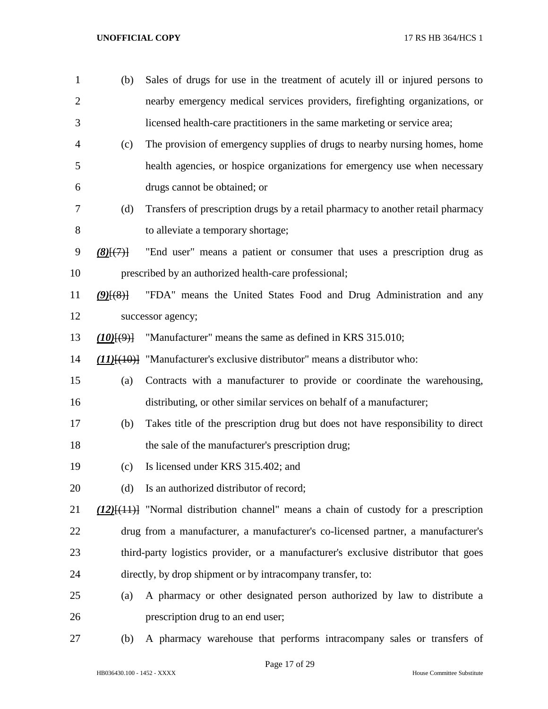| $\mathbf{1}$   | (b)                | Sales of drugs for use in the treatment of acutely ill or injured persons to                |
|----------------|--------------------|---------------------------------------------------------------------------------------------|
| $\overline{2}$ |                    | nearby emergency medical services providers, firefighting organizations, or                 |
| 3              |                    | licensed health-care practitioners in the same marketing or service area;                   |
| 4              | (c)                | The provision of emergency supplies of drugs to nearby nursing homes, home                  |
| 5              |                    | health agencies, or hospice organizations for emergency use when necessary                  |
| 6              |                    | drugs cannot be obtained; or                                                                |
| 7              | (d)                | Transfers of prescription drugs by a retail pharmacy to another retail pharmacy             |
| 8              |                    | to alleviate a temporary shortage;                                                          |
| 9              | $(8)$ $(7)$        | "End user" means a patient or consumer that uses a prescription drug as                     |
| 10             |                    | prescribed by an authorized health-care professional;                                       |
| 11             | $(9)$ $(8)$        | "FDA" means the United States Food and Drug Administration and any                          |
| 12             |                    | successor agency;                                                                           |
| 13             | $(10)$ $(9)$ $(9)$ | "Manufacturer" means the same as defined in KRS 315.010;                                    |
| 14             |                    | $(11)$ [ $(10)$ ] "Manufacturer's exclusive distributor" means a distributor who:           |
| 15             | (a)                | Contracts with a manufacturer to provide or coordinate the warehousing,                     |
| 16             |                    | distributing, or other similar services on behalf of a manufacturer;                        |
| 17             | (b)                | Takes title of the prescription drug but does not have responsibility to direct             |
| 18             |                    | the sale of the manufacturer's prescription drug;                                           |
| 19             | (c)                | Is licensed under KRS 315.402; and                                                          |
| 20             | (d)                | Is an authorized distributor of record;                                                     |
| 21             |                    | $(12)$ [ $(11)$ ] "Normal distribution channel" means a chain of custody for a prescription |
| 22             |                    | drug from a manufacturer, a manufacturer's co-licensed partner, a manufacturer's            |
| 23             |                    | third-party logistics provider, or a manufacturer's exclusive distributor that goes         |
| 24             |                    | directly, by drop shipment or by intracompany transfer, to:                                 |
| 25             | (a)                | A pharmacy or other designated person authorized by law to distribute a                     |
| 26             |                    | prescription drug to an end user;                                                           |
| 27             | (b)                | A pharmacy warehouse that performs intracompany sales or transfers of                       |

HB036430.100 - 1452 - XXXX House Committee Substitute

Page 17 of 29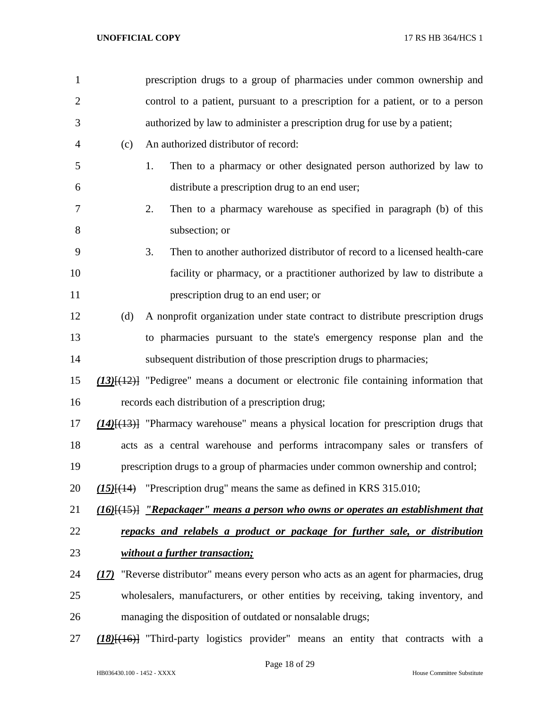| $\mathbf{1}$   |     | prescription drugs to a group of pharmacies under common ownership and                                      |
|----------------|-----|-------------------------------------------------------------------------------------------------------------|
| $\overline{2}$ |     | control to a patient, pursuant to a prescription for a patient, or to a person                              |
| 3              |     | authorized by law to administer a prescription drug for use by a patient;                                   |
| 4              | (c) | An authorized distributor of record:                                                                        |
| 5              |     | Then to a pharmacy or other designated person authorized by law to<br>1.                                    |
| 6              |     | distribute a prescription drug to an end user;                                                              |
| 7              |     | Then to a pharmacy warehouse as specified in paragraph (b) of this<br>2.                                    |
| 8              |     | subsection; or                                                                                              |
| 9              |     | Then to another authorized distributor of record to a licensed health-care<br>3.                            |
| 10             |     | facility or pharmacy, or a practitioner authorized by law to distribute a                                   |
| 11             |     | prescription drug to an end user; or                                                                        |
| 12             | (d) | A nonprofit organization under state contract to distribute prescription drugs                              |
| 13             |     | to pharmacies pursuant to the state's emergency response plan and the                                       |
| 14             |     | subsequent distribution of those prescription drugs to pharmacies;                                          |
| 15             |     | $(13)$ [ $(12)$ ] "Pedigree" means a document or electronic file containing information that                |
| 16             |     | records each distribution of a prescription drug;                                                           |
| 17             |     | $(14)$ [ $(13)$ ] "Pharmacy warehouse" means a physical location for prescription drugs that                |
| 18             |     | acts as a central warehouse and performs intracompany sales or transfers of                                 |
| 19             |     | prescription drugs to a group of pharmacies under common ownership and control;                             |
| 20             |     | $(15)$ [ $(14)$ "Prescription drug" means the same as defined in KRS 315.010;                               |
| 21             |     | $\underline{(16)}\underline{[}(15)]$ "Repackager" means a person who owns or operates an establishment that |
| 22             |     | repacks and relabels a product or package for further sale, or distribution                                 |
| 23             |     | without a further transaction;                                                                              |
| 24             |     | (17) "Reverse distributor" means every person who acts as an agent for pharmacies, drug                     |
| 25             |     | wholesalers, manufacturers, or other entities by receiving, taking inventory, and                           |
| 26             |     | managing the disposition of outdated or nonsalable drugs;                                                   |
| 27             |     | $(18)$ [(16)] "Third-party logistics provider" means an entity that contracts with a                        |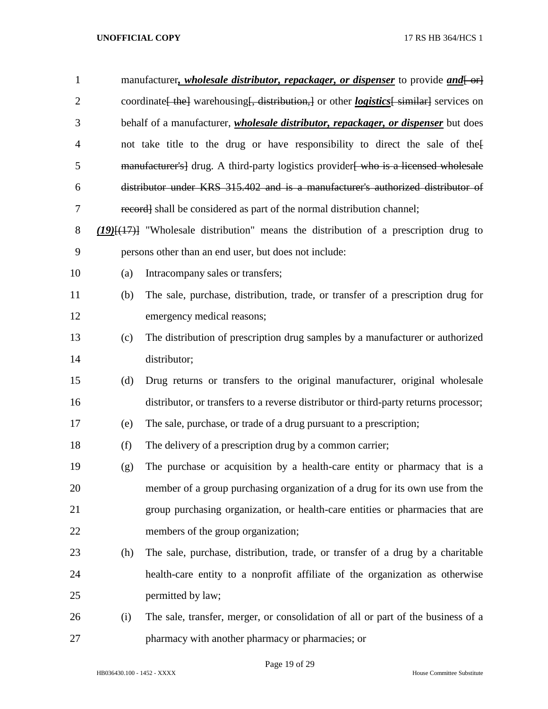| $\mathbf{1}$   |     | manufacturer, <i>wholesale distributor, repackager, or dispenser</i> to provide <i>and</i> [-or           |
|----------------|-----|-----------------------------------------------------------------------------------------------------------|
| $\overline{2}$ |     | coordinate [the ] warehousing [, distribution,] or other <i>logistics</i> [similar] services on           |
| 3              |     | behalf of a manufacturer, <i>wholesale distributor</i> , <i>repackager</i> , <i>or dispenser</i> but does |
| $\overline{4}$ |     | not take title to the drug or have responsibility to direct the sale of the                               |
| 5              |     | manufacturer's] drug. A third-party logistics provider who is a licensed wholesale                        |
| 6              |     | distributor under KRS 315.402 and is a manufacturer's authorized distributor of                           |
| 7              |     | record] shall be considered as part of the normal distribution channel;                                   |
| $8\,$          |     | $(19)$ [ $(17)$ ] "Wholesale distribution" means the distribution of a prescription drug to               |
| 9              |     | persons other than an end user, but does not include:                                                     |
| 10             | (a) | Intracompany sales or transfers;                                                                          |
| 11             | (b) | The sale, purchase, distribution, trade, or transfer of a prescription drug for                           |
| 12             |     | emergency medical reasons;                                                                                |
| 13             | (c) | The distribution of prescription drug samples by a manufacturer or authorized                             |
| 14             |     | distributor;                                                                                              |
| 15             | (d) | Drug returns or transfers to the original manufacturer, original wholesale                                |
| 16             |     | distributor, or transfers to a reverse distributor or third-party returns processor;                      |
| 17             | (e) | The sale, purchase, or trade of a drug pursuant to a prescription;                                        |
| 18             | (f) | The delivery of a prescription drug by a common carrier;                                                  |
| 19             | (g) | The purchase or acquisition by a health-care entity or pharmacy that is a                                 |
| 20             |     | member of a group purchasing organization of a drug for its own use from the                              |
| 21             |     | group purchasing organization, or health-care entities or pharmacies that are                             |
| 22             |     | members of the group organization;                                                                        |
| 23             | (h) | The sale, purchase, distribution, trade, or transfer of a drug by a charitable                            |
| 24             |     | health-care entity to a nonprofit affiliate of the organization as otherwise                              |
| 25             |     | permitted by law;                                                                                         |
| 26             | (i) | The sale, transfer, merger, or consolidation of all or part of the business of a                          |
| 27             |     | pharmacy with another pharmacy or pharmacies; or                                                          |

Page 19 of 29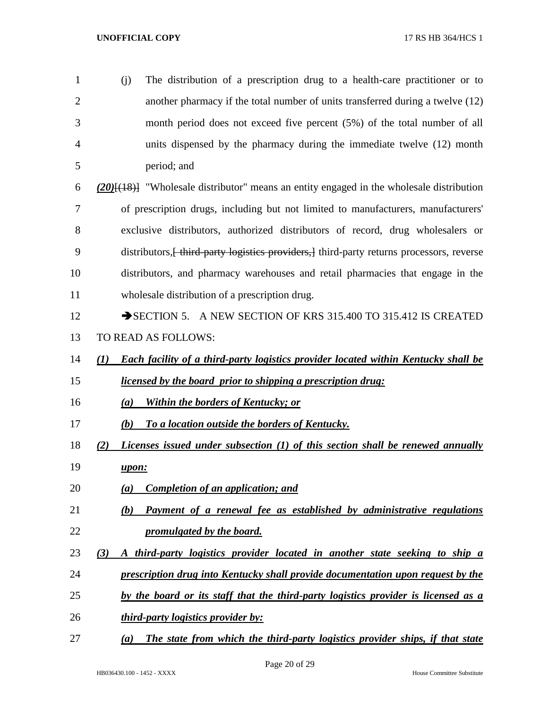(j) The distribution of a prescription drug to a health-care practitioner or to another pharmacy if the total number of units transferred during a twelve (12) month period does not exceed five percent (5%) of the total number of all units dispensed by the pharmacy during the immediate twelve (12) month period; and

 *(20)*[(18)] "Wholesale distributor" means an entity engaged in the wholesale distribution of prescription drugs, including but not limited to manufacturers, manufacturers' exclusive distributors, authorized distributors of record, drug wholesalers or 9 distributors, heta-party logistics providers, l third-party returns processors, reverse distributors, and pharmacy warehouses and retail pharmacies that engage in the wholesale distribution of a prescription drug.

- 12 SECTION 5. A NEW SECTION OF KRS 315.400 TO 315.412 IS CREATED TO READ AS FOLLOWS:
- *(1) Each facility of a third-party logistics provider located within Kentucky shall be licensed by the board prior to shipping a prescription drug:*
- *(a) Within the borders of Kentucky; or*
- *(b) To a location outside the borders of Kentucky.*
- *(2) Licenses issued under subsection (1) of this section shall be renewed annually upon:*
- *(a) Completion of an application; and*
- *(b) Payment of a renewal fee as established by administrative regulations promulgated by the board.*
- *(3) A third-party logistics provider located in another state seeking to ship a*
- *prescription drug into Kentucky shall provide documentation upon request by the*
- *by the board or its staff that the third-party logistics provider is licensed as a*
- *third-party logistics provider by:*
- *(a) The state from which the third-party logistics provider ships, if that state*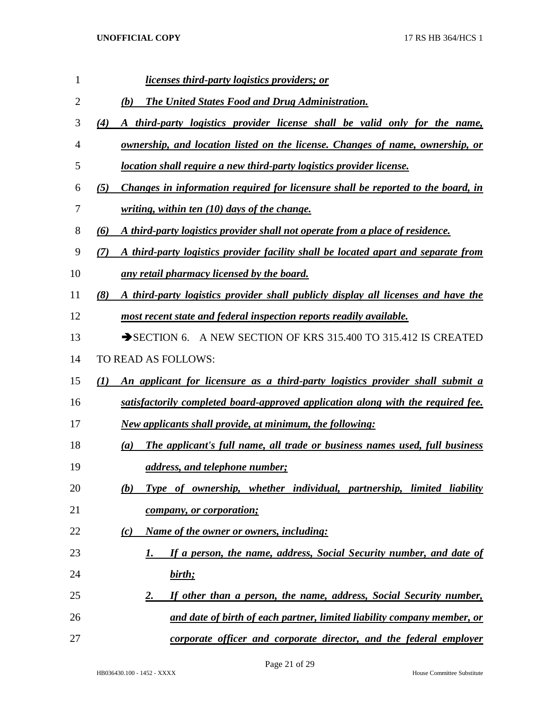| 1  | <i>licenses third-party logistics providers; or</i>                                       |
|----|-------------------------------------------------------------------------------------------|
| 2  | <b>The United States Food and Drug Administration.</b><br>(b)                             |
| 3  | A third-party logistics provider license shall be valid only for the name,<br>(4)         |
| 4  | ownership, and location listed on the license. Changes of name, ownership, or             |
| 5  | location shall require a new third-party logistics provider license.                      |
| 6  | Changes in information required for licensure shall be reported to the board, in<br>(5)   |
| 7  | <u>writing, within ten (10) days of the change.</u>                                       |
| 8  | A third-party logistics provider shall not operate from a place of residence.<br>(6)      |
| 9  | A third-party logistics provider facility shall be located apart and separate from<br>(7) |
| 10 | any retail pharmacy licensed by the board.                                                |
| 11 | (8)<br>A third-party logistics provider shall publicly display all licenses and have the  |
| 12 | most recent state and federal inspection reports readily available.                       |
| 13 | SECTION 6. A NEW SECTION OF KRS 315.400 TO 315.412 IS CREATED                             |
| 14 | TO READ AS FOLLOWS:                                                                       |
| 15 | (1)<br>An applicant for licensure as a third-party logistics provider shall submit a      |
| 16 | satisfactorily completed board-approved application along with the required fee.          |
| 17 | New applicants shall provide, at minimum, the following:                                  |
| 18 | The applicant's full name, all trade or business names used, full business<br>(a)         |
| 19 | <u>address, and telephone number;</u>                                                     |
| 20 | Type of ownership, whether individual, partnership, limited liability<br>(b)              |
| 21 | company, or corporation;                                                                  |
| 22 | Name of the owner or owners, including:<br>(c)                                            |
| 23 | If a person, the name, address, Social Security number, and date of<br>1.                 |
| 24 | birth;                                                                                    |
| 25 | If other than a person, the name, address, Social Security number,<br>2.                  |
| 26 | and date of birth of each partner, limited liability company member, or                   |
| 27 | corporate officer and corporate director, and the federal employer                        |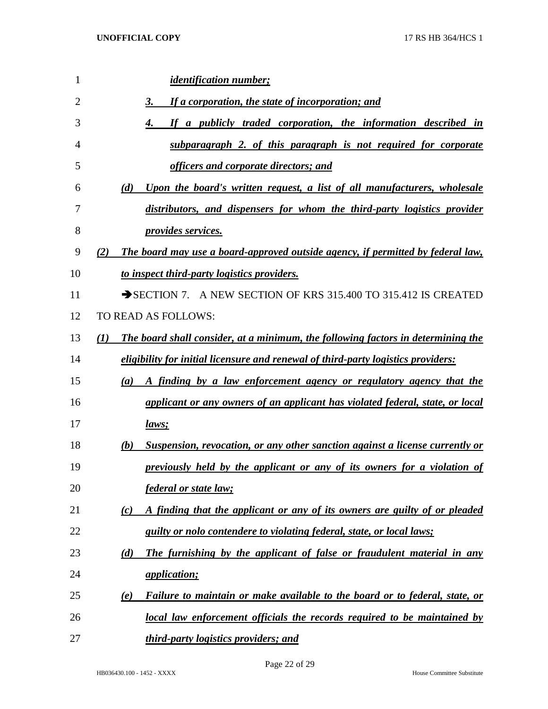| $\mathbf{1}$   | <i>identification number;</i>                                                           |
|----------------|-----------------------------------------------------------------------------------------|
| $\overline{2}$ | If a corporation, the state of incorporation; and<br>3.                                 |
| 3              | If a publicly traded corporation, the information described in<br>4.                    |
| 4              | subparagraph 2. of this paragraph is not required for corporate                         |
| 5              | officers and corporate directors; and                                                   |
| 6              | (d)<br>Upon the board's written request, a list of all manufacturers, wholesale         |
| 7              | distributors, and dispensers for whom the third-party logistics provider                |
| 8              | <i>provides services.</i>                                                               |
| 9              | The board may use a board-approved outside agency, if permitted by federal law,<br>(2)  |
| 10             | to inspect third-party logistics providers.                                             |
| 11             | SECTION 7. A NEW SECTION OF KRS 315.400 TO 315.412 IS CREATED                           |
| 12             | TO READ AS FOLLOWS:                                                                     |
| 13             | (I)<br>The board shall consider, at a minimum, the following factors in determining the |
| 14             | eligibility for initial licensure and renewal of third-party logistics providers:       |
| 15             | A finding by a law enforcement agency or regulatory agency that the<br>(a)              |
| 16             | applicant or any owners of an applicant has violated federal, state, or local           |
| 17             | laws;                                                                                   |
| 18             | Suspension, revocation, or any other sanction against a license currently or<br>(b)     |
| 19             | previously held by the applicant or any of its owners for a violation of                |
| 20             | federal or state law;                                                                   |
| 21             | A finding that the applicant or any of its owners are guilty of or pleaded<br>(c)       |
| 22             | guilty or nolo contendere to violating federal, state, or local laws;                   |
| 23             | The furnishing by the applicant of false or fraudulent material in any<br>(d)           |
| 24             | <i><u><b>application</b></u></i>                                                        |
| 25             | Failure to maintain or make available to the board or to federal, state, or<br>(e)      |
| 26             | local law enforcement officials the records required to be maintained by                |
| 27             | third-party logistics providers; and                                                    |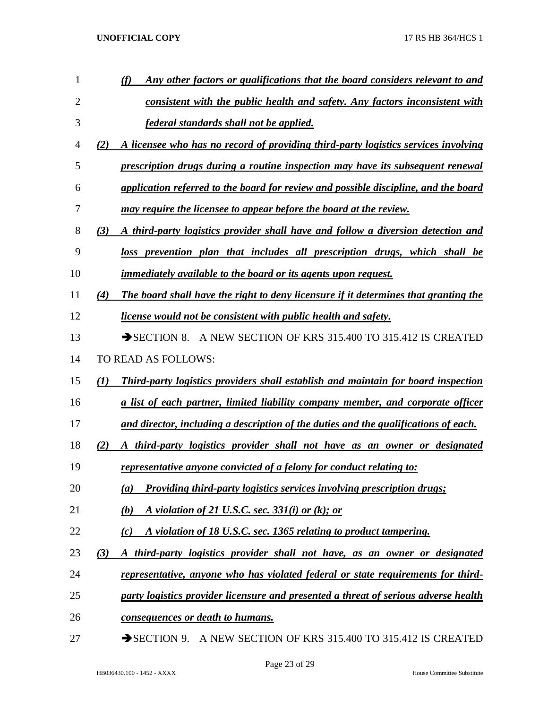| 1  | Any other factors or qualifications that the board considers relevant to and                    |
|----|-------------------------------------------------------------------------------------------------|
| 2  | consistent with the public health and safety. Any factors inconsistent with                     |
| 3  | federal standards shall not be applied.                                                         |
| 4  | A licensee who has no record of providing third-party logistics services involving<br>(2)       |
| 5  | prescription drugs during a routine inspection may have its subsequent renewal                  |
| 6  | application referred to the board for review and possible discipline, and the board             |
| 7  | may require the licensee to appear before the board at the review.                              |
| 8  | A third-party logistics provider shall have and follow a diversion detection and<br>(3)         |
| 9  | loss prevention plan that includes all prescription drugs, which shall be                       |
| 10 | immediately available to the board or its agents upon request.                                  |
| 11 | The board shall have the right to deny licensure if it determines that granting the<br>(4)      |
| 12 | license would not be consistent with public health and safety.                                  |
| 13 | SECTION 8. A NEW SECTION OF KRS 315.400 TO 315.412 IS CREATED                                   |
| 14 | TO READ AS FOLLOWS:                                                                             |
| 15 | <b>Third-party logistics providers shall establish and maintain for board inspection</b><br>(I) |
| 16 | <u>a list of each partner, limited liability company member, and corporate officer</u>          |
| 17 | and director, including a description of the duties and the qualifications of each.             |
| 18 | A third-party logistics provider shall not have as an owner or designated<br>(2)                |
| 19 | representative anyone convicted of a felony for conduct relating to:                            |
| 20 | <b>Providing third-party logistics services involving prescription drugs;</b><br>(a)            |
| 21 | A violation of 21 U.S.C. sec. $331(i)$ or (k); or<br>(b)                                        |
| 22 | A violation of 18 U.S.C. sec. 1365 relating to product tampering.<br>(c)                        |
| 23 | A third-party logistics provider shall not have, as an owner or designated<br>(3)               |
| 24 | <u>representative, anyone who has violated federal or state requirements for third-</u>         |
| 25 | party logistics provider licensure and presented a threat of serious adverse health             |
| 26 | consequences or death to humans.                                                                |
| 27 | A NEW SECTION OF KRS 315.400 TO 315.412 IS CREATED<br>$\rightarrow$ SECTION 9.                  |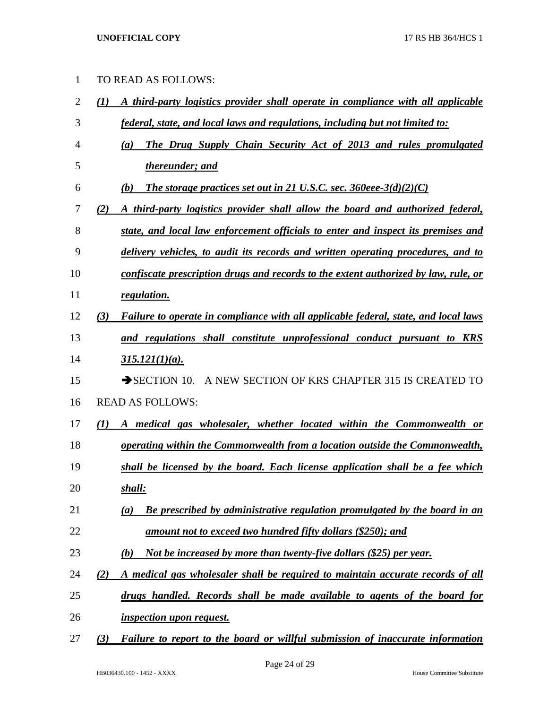| $\mathbf{1}$   | TO READ AS FOLLOWS:                                                                        |
|----------------|--------------------------------------------------------------------------------------------|
| $\overline{2}$ | A third-party logistics provider shall operate in compliance with all applicable<br>(1)    |
| 3              | federal, state, and local laws and regulations, including but not limited to:              |
| $\overline{4}$ | The Drug Supply Chain Security Act of 2013 and rules promulgated<br>(a)                    |
| 5              | thereunder; and                                                                            |
| 6              | The storage practices set out in 21 U.S.C. sec. $360$ eee- $3(d)(2)(C)$<br>(b)             |
| 7              | A third-party logistics provider shall allow the board and authorized federal,<br>(2)      |
| 8              | state, and local law enforcement officials to enter and inspect its premises and           |
| 9              | delivery vehicles, to audit its records and written operating procedures, and to           |
| 10             | confiscate prescription drugs and records to the extent authorized by law, rule, or        |
| 11             | regulation.                                                                                |
| 12             | Failure to operate in compliance with all applicable federal, state, and local laws<br>(3) |
| 13             | and regulations shall constitute unprofessional conduct pursuant to KRS                    |
| 14             | $315.121(1)(a)$ .                                                                          |
| 15             | A NEW SECTION OF KRS CHAPTER 315 IS CREATED TO<br>$\rightarrow$ SECTION 10.                |
| 16             | <b>READ AS FOLLOWS:</b>                                                                    |
| 17             | A medical gas wholesaler, whether located within the Commonwealth or<br>(I)                |
| 18             | operating within the Commonwealth from a location outside the Commonwealth,                |
| 19             | shall be licensed by the board. Each license application shall be a fee which              |
|                |                                                                                            |

- *shall:*
- *(a) Be prescribed by administrative regulation promulgated by the board in an amount not to exceed two hundred fifty dollars (\$250); and*
- *(b) Not be increased by more than twenty-five dollars (\$25) per year.*
- *(2) A medical gas wholesaler shall be required to maintain accurate records of all*
- *drugs handled. Records shall be made available to agents of the board for*

*inspection upon request.*

*(3) Failure to report to the board or willful submission of inaccurate information*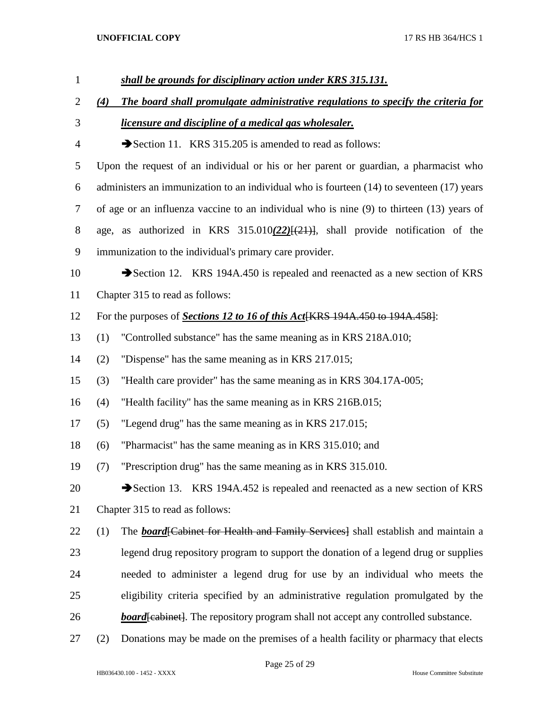| $\mathbf{1}$   |     | shall be grounds for disciplinary action under KRS 315.131.                                   |
|----------------|-----|-----------------------------------------------------------------------------------------------|
| $\overline{2}$ | (4) | The board shall promulgate administrative regulations to specify the criteria for             |
| 3              |     | <i><u><b>licensure and discipline of a medical gas wholesaler.</b></u></i>                    |
| $\overline{4}$ |     | Section 11. KRS 315.205 is amended to read as follows:                                        |
| 5              |     | Upon the request of an individual or his or her parent or guardian, a pharmacist who          |
| 6              |     | administers an immunization to an individual who is fourteen $(14)$ to seventeen $(17)$ years |
| 7              |     | of age or an influenza vaccine to an individual who is nine (9) to thirteen (13) years of     |
| 8              |     | age, as authorized in KRS $315.010(22)[(21)]$ , shall provide notification of the             |
| 9              |     | immunization to the individual's primary care provider.                                       |
| 10             |     | Section 12. KRS 194A.450 is repealed and reenacted as a new section of KRS                    |
| 11             |     | Chapter 315 to read as follows:                                                               |
| 12             |     | For the purposes of Sections 12 to 16 of this Act[KRS 194A.450 to 194A.458]:                  |
| 13             | (1) | "Controlled substance" has the same meaning as in KRS 218A.010;                               |
| 14             | (2) | "Dispense" has the same meaning as in KRS 217.015;                                            |
| 15             | (3) | "Health care provider" has the same meaning as in KRS 304.17A-005;                            |
| 16             | (4) | "Health facility" has the same meaning as in KRS 216B.015;                                    |
| 17             | (5) | "Legend drug" has the same meaning as in KRS 217.015;                                         |
| 18             | (6) | "Pharmacist" has the same meaning as in KRS 315.010; and                                      |
| 19             | (7) | "Prescription drug" has the same meaning as in KRS 315.010.                                   |
| 20             |     | Section 13. KRS 194A.452 is repealed and reenacted as a new section of KRS                    |
| 21             |     | Chapter 315 to read as follows:                                                               |
| 22             | (1) | The <b>board</b> Cabinet for Health and Family Services Shall establish and maintain a        |
| 23             |     | legend drug repository program to support the donation of a legend drug or supplies           |
| 24             |     | needed to administer a legend drug for use by an individual who meets the                     |
| 25             |     | eligibility criteria specified by an administrative regulation promulgated by the             |
| 26             |     | <b>board</b> [cabinet]. The repository program shall not accept any controlled substance.     |
| 27             | (2) | Donations may be made on the premises of a health facility or pharmacy that elects            |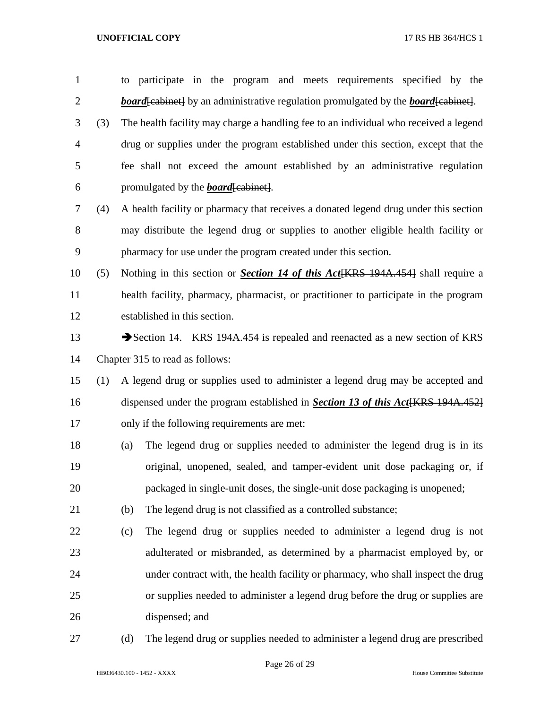| $\mathbf{1}$   |     |     | to participate in the program and meets requirements specified by the                             |  |  |  |  |  |
|----------------|-----|-----|---------------------------------------------------------------------------------------------------|--|--|--|--|--|
| $\overline{c}$ |     |     | <b>board</b> [cabinet] by an administrative regulation promulgated by the <b>board</b> [cabinet]. |  |  |  |  |  |
| 3              | (3) |     | The health facility may charge a handling fee to an individual who received a legend              |  |  |  |  |  |
| 4              |     |     | drug or supplies under the program established under this section, except that the                |  |  |  |  |  |
| 5              |     |     | fee shall not exceed the amount established by an administrative regulation                       |  |  |  |  |  |
| 6              |     |     | promulgated by the <b>board</b> [cabinet].                                                        |  |  |  |  |  |
| 7              | (4) |     | A health facility or pharmacy that receives a donated legend drug under this section              |  |  |  |  |  |
| 8              |     |     | may distribute the legend drug or supplies to another eligible health facility or                 |  |  |  |  |  |
| 9              |     |     | pharmacy for use under the program created under this section.                                    |  |  |  |  |  |
| 10             | (5) |     | Nothing in this section or <i>Section 14 of this Act</i> [KRS 194A.454] shall require a           |  |  |  |  |  |
| 11             |     |     | health facility, pharmacy, pharmacist, or practitioner to participate in the program              |  |  |  |  |  |
| 12             |     |     | established in this section.                                                                      |  |  |  |  |  |
| 13             |     |     | Section 14. KRS 194A.454 is repealed and reenacted as a new section of KRS                        |  |  |  |  |  |
| 14             |     |     | Chapter 315 to read as follows:                                                                   |  |  |  |  |  |
| 15             | (1) |     | A legend drug or supplies used to administer a legend drug may be accepted and                    |  |  |  |  |  |
| 16             |     |     | dispensed under the program established in <b>Section 13 of this Act</b> [KRS 194A.452]           |  |  |  |  |  |
| 17             |     |     | only if the following requirements are met:                                                       |  |  |  |  |  |
| 18             |     | (a) | The legend drug or supplies needed to administer the legend drug is in its                        |  |  |  |  |  |
| 19             |     |     | original, unopened, sealed, and tamper-evident unit dose packaging or, if                         |  |  |  |  |  |
| 20             |     |     | packaged in single-unit doses, the single-unit dose packaging is unopened;                        |  |  |  |  |  |
| 21             |     | (b) | The legend drug is not classified as a controlled substance;                                      |  |  |  |  |  |
| 22             |     | (c) | The legend drug or supplies needed to administer a legend drug is not                             |  |  |  |  |  |
| 23             |     |     | adulterated or misbranded, as determined by a pharmacist employed by, or                          |  |  |  |  |  |
| 24             |     |     | under contract with, the health facility or pharmacy, who shall inspect the drug                  |  |  |  |  |  |
| 25             |     |     | or supplies needed to administer a legend drug before the drug or supplies are                    |  |  |  |  |  |
| 26             |     |     | dispensed; and                                                                                    |  |  |  |  |  |
| 27             |     | (d) | The legend drug or supplies needed to administer a legend drug are prescribed                     |  |  |  |  |  |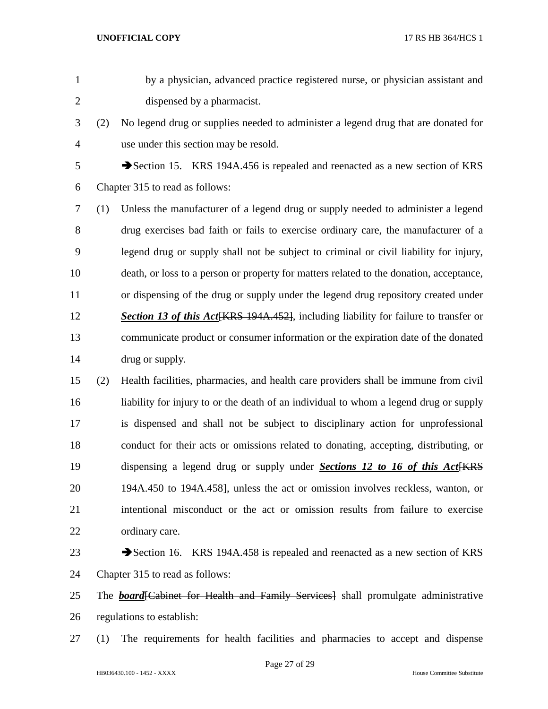- by a physician, advanced practice registered nurse, or physician assistant and dispensed by a pharmacist.
- (2) No legend drug or supplies needed to administer a legend drug that are donated for use under this section may be resold.
- Section 15. KRS 194A.456 is repealed and reenacted as a new section of KRS Chapter 315 to read as follows:
- (1) Unless the manufacturer of a legend drug or supply needed to administer a legend drug exercises bad faith or fails to exercise ordinary care, the manufacturer of a legend drug or supply shall not be subject to criminal or civil liability for injury, death, or loss to a person or property for matters related to the donation, acceptance, or dispensing of the drug or supply under the legend drug repository created under *Section 13 of this Act*[KRS 194A.452], including liability for failure to transfer or communicate product or consumer information or the expiration date of the donated 14 drug or supply.
- (2) Health facilities, pharmacies, and health care providers shall be immune from civil liability for injury to or the death of an individual to whom a legend drug or supply is dispensed and shall not be subject to disciplinary action for unprofessional conduct for their acts or omissions related to donating, accepting, distributing, or 19 dispensing a legend drug or supply under *Sections 12 to 16 of this Act*<sup>[KRS]</sup> 194A.450 to 194A.458], unless the act or omission involves reckless, wanton, or intentional misconduct or the act or omission results from failure to exercise ordinary care.
- 23 Section 16. KRS 194A.458 is repealed and reenacted as a new section of KRS Chapter 315 to read as follows:
- The *board*[Cabinet for Health and Family Services] shall promulgate administrative regulations to establish:
- (1) The requirements for health facilities and pharmacies to accept and dispense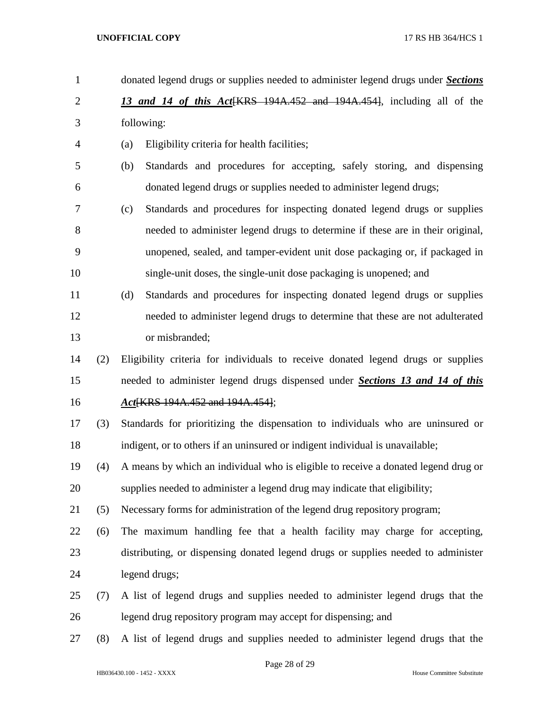| $\mathbf{1}$   |     | donated legend drugs or supplies needed to administer legend drugs under <b>Sections</b> |
|----------------|-----|------------------------------------------------------------------------------------------|
| $\overline{2}$ |     | 13 and 14 of this Act [KRS 194A.452 and 194A.454], including all of the                  |
| 3              |     | following:                                                                               |
| 4              |     | Eligibility criteria for health facilities;<br>(a)                                       |
| 5              |     | Standards and procedures for accepting, safely storing, and dispensing<br>(b)            |
| 6              |     | donated legend drugs or supplies needed to administer legend drugs;                      |
| 7              |     | Standards and procedures for inspecting donated legend drugs or supplies<br>(c)          |
| 8              |     | needed to administer legend drugs to determine if these are in their original,           |
| 9              |     | unopened, sealed, and tamper-evident unit dose packaging or, if packaged in              |
| 10             |     | single-unit doses, the single-unit dose packaging is unopened; and                       |
| 11             |     | Standards and procedures for inspecting donated legend drugs or supplies<br>(d)          |
| 12             |     | needed to administer legend drugs to determine that these are not adulterated            |
| 13             |     | or misbranded;                                                                           |
| 14             | (2) | Eligibility criteria for individuals to receive donated legend drugs or supplies         |
| 15             |     | needed to administer legend drugs dispensed under Sections 13 and 14 of this             |
| 16             |     | Act KRS 194A.452 and 194A.4541;                                                          |
| 17             | (3) | Standards for prioritizing the dispensation to individuals who are uninsured or          |
| 18             |     | indigent, or to others if an uninsured or indigent individual is unavailable;            |
| 19             | (4) | A means by which an individual who is eligible to receive a donated legend drug or       |
| 20             |     | supplies needed to administer a legend drug may indicate that eligibility;               |
| 21             | (5) | Necessary forms for administration of the legend drug repository program;                |
| 22             | (6) | The maximum handling fee that a health facility may charge for accepting,                |
| 23             |     | distributing, or dispensing donated legend drugs or supplies needed to administer        |
| 24             |     | legend drugs;                                                                            |
| 25             | (7) | A list of legend drugs and supplies needed to administer legend drugs that the           |
| 26             |     | legend drug repository program may accept for dispensing; and                            |
| 27             | (8) | A list of legend drugs and supplies needed to administer legend drugs that the           |